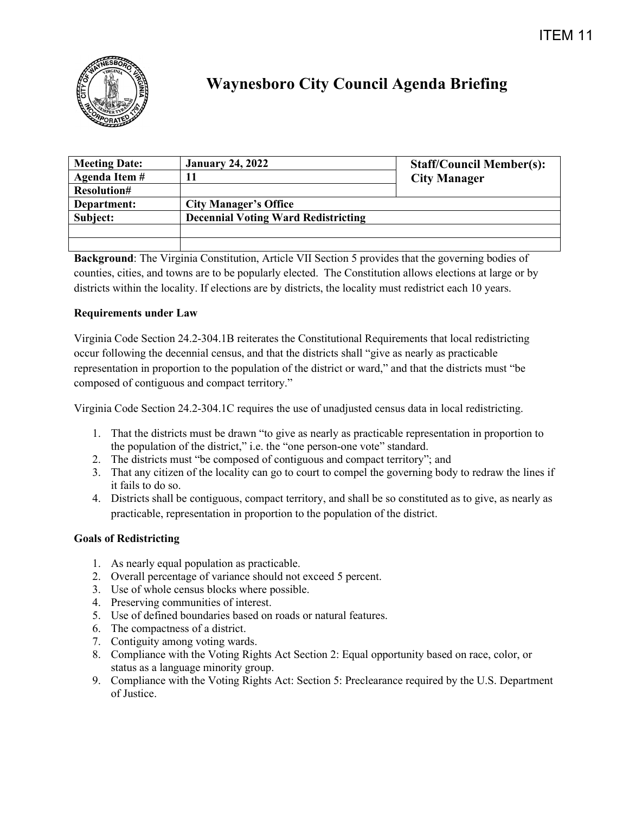

## **Waynesboro City Council Agenda Briefing**

| <b>Meeting Date:</b> | <b>January 24, 2022</b>                    | <b>Staff/Council Member(s):</b> |
|----------------------|--------------------------------------------|---------------------------------|
| Agenda Item #        |                                            | <b>City Manager</b>             |
| <b>Resolution#</b>   |                                            |                                 |
| Department:          | <b>City Manager's Office</b>               |                                 |
| Subject:             | <b>Decennial Voting Ward Redistricting</b> |                                 |
|                      |                                            |                                 |
|                      |                                            |                                 |

**Background**: The Virginia Constitution, Article VII Section 5 provides that the governing bodies of counties, cities, and towns are to be popularly elected. The Constitution allows elections at large or by districts within the locality. If elections are by districts, the locality must redistrict each 10 years.

## **Requirements under Law**

Virginia Code Section 24.2-304.1B reiterates the Constitutional Requirements that local redistricting occur following the decennial census, and that the districts shall "give as nearly as practicable representation in proportion to the population of the district or ward," and that the districts must "be composed of contiguous and compact territory."

Virginia Code Section 24.2-304.1C requires the use of unadjusted census data in local redistricting.

- 1. That the districts must be drawn "to give as nearly as practicable representation in proportion to the population of the district," i.e. the "one person-one vote" standard.
- 2. The districts must "be composed of contiguous and compact territory"; and
- 3. That any citizen of the locality can go to court to compel the governing body to redraw the lines if it fails to do so.
- 4. Districts shall be contiguous, compact territory, and shall be so constituted as to give, as nearly as practicable, representation in proportion to the population of the district.

## **Goals of Redistricting**

- 1. As nearly equal population as practicable.
- 2. Overall percentage of variance should not exceed 5 percent.
- 3. Use of whole census blocks where possible.
- 4. Preserving communities of interest.
- 5. Use of defined boundaries based on roads or natural features.
- 6. The compactness of a district.
- 7. Contiguity among voting wards.
- 8. Compliance with the Voting Rights Act Section 2: Equal opportunity based on race, color, or status as a language minority group.
- 9. Compliance with the Voting Rights Act: Section 5: Preclearance required by the U.S. Department of Justice.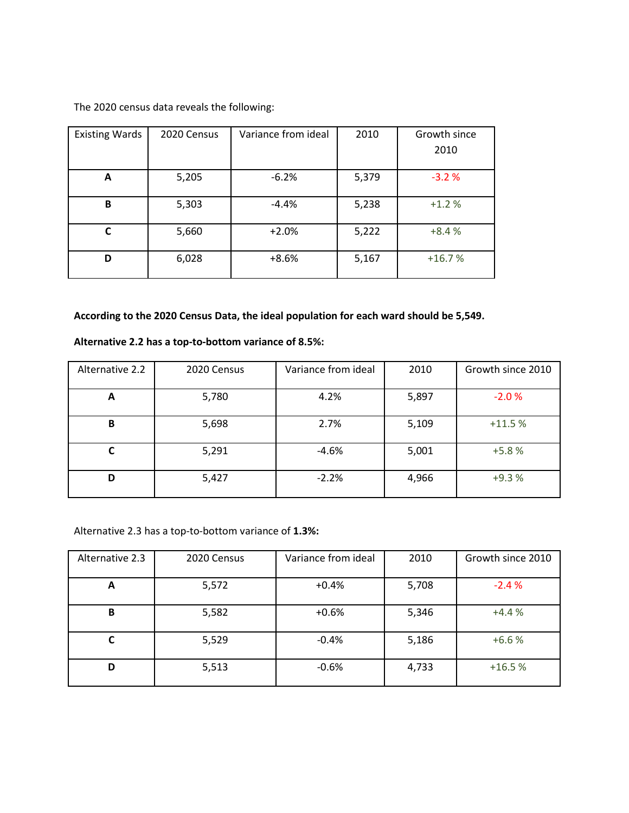The 2020 census data reveals the following:

| <b>Existing Wards</b> | 2020 Census | Variance from ideal | 2010  | Growth since<br>2010 |
|-----------------------|-------------|---------------------|-------|----------------------|
| A                     | 5,205       | $-6.2%$             | 5,379 | $-3.2%$              |
| B                     | 5,303       | $-4.4%$             | 5,238 | $+1.2%$              |
| C                     | 5,660       | $+2.0%$             | 5,222 | $+8.4%$              |
| D                     | 6,028       | $+8.6%$             | 5,167 | $+16.7%$             |

**According to the 2020 Census Data, the ideal population for each ward should be 5,549.**

| Alternative 2.2 | 2020 Census | Variance from ideal | 2010  | Growth since 2010 |
|-----------------|-------------|---------------------|-------|-------------------|
| A               | 5,780       | 4.2%                | 5,897 | $-2.0%$           |
| B               | 5,698       | 2.7%                | 5,109 | $+11.5%$          |
| C               | 5,291       | $-4.6%$             | 5,001 | $+5.8%$           |
| D               | 5,427       | $-2.2%$             | 4,966 | $+9.3%$           |

**Alternative 2.2 has a top-to-bottom variance of 8.5%:**

Alternative 2.3 has a top-to-bottom variance of **1.3%:**

| Alternative 2.3 | 2020 Census | Variance from ideal | 2010  | Growth since 2010 |
|-----------------|-------------|---------------------|-------|-------------------|
| A               | 5,572       | $+0.4%$             | 5,708 | $-2.4%$           |
| B               | 5,582       | $+0.6%$             | 5,346 | $+4.4%$           |
| C               | 5,529       | $-0.4%$             | 5,186 | $+6.6%$           |
| D               | 5,513       | $-0.6%$             | 4,733 | $+16.5%$          |